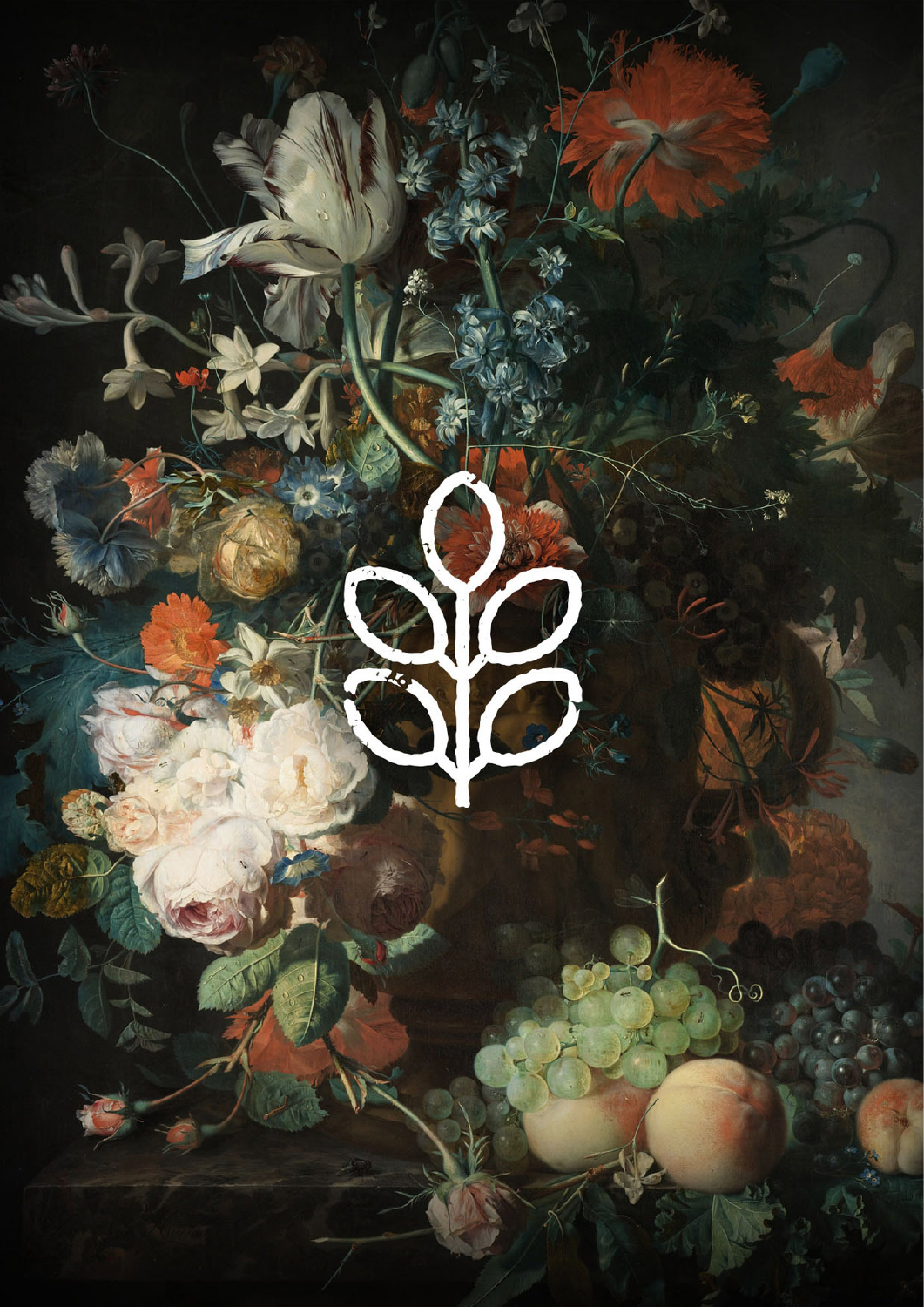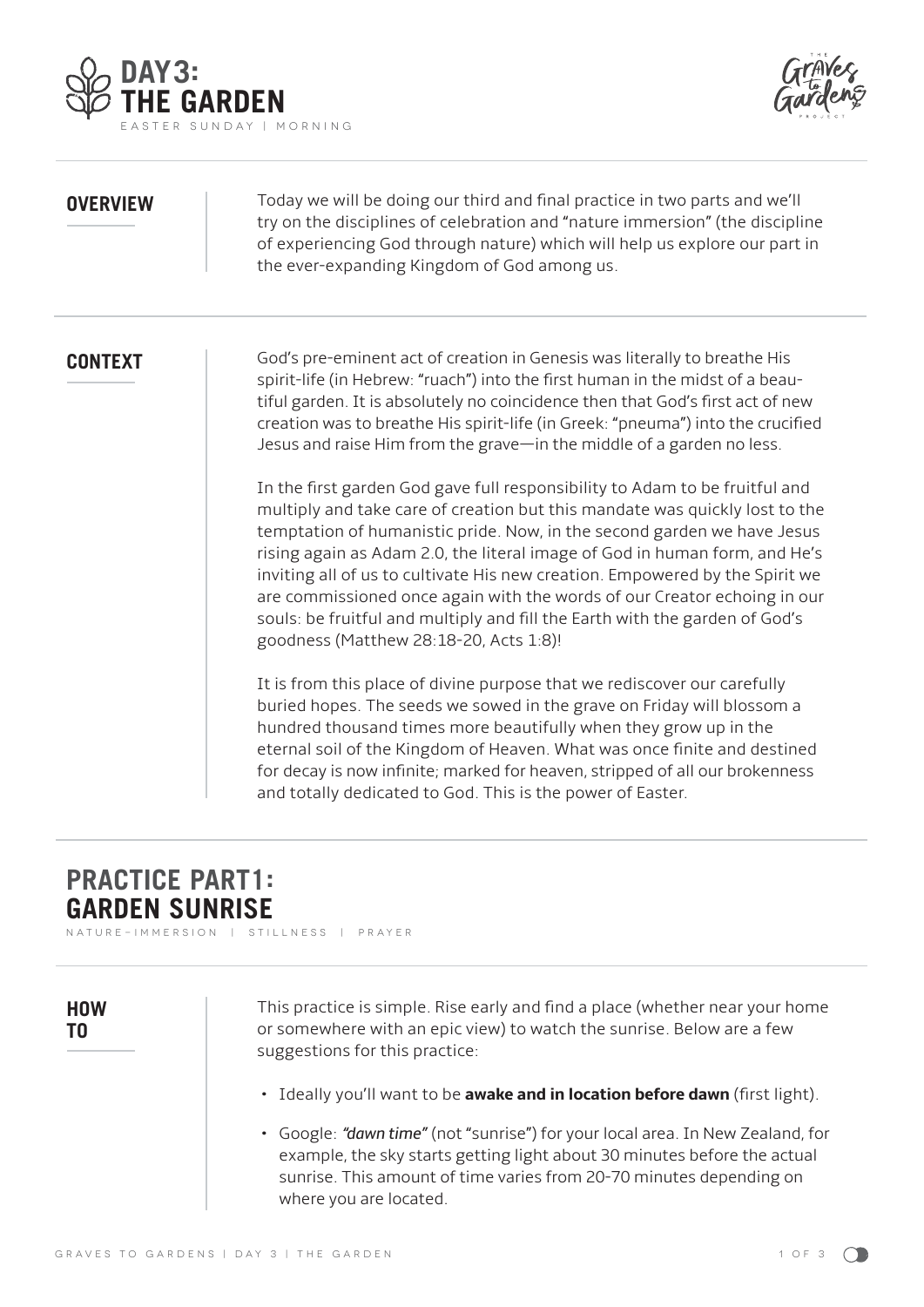



#### **OVERVIEW**

Today we will be doing our third and fnal practice in two parts and we'll try on the disciplines of celebration and "nature immersion" (the discipline of experiencing God through nature) which will help us explore our part in the ever-expanding Kingdom of God among us.

### **CONTEXT**

God's pre-eminent act of creation in Genesis was literally to breathe His spirit-life (in Hebrew: "ruach") into the frst human in the midst of a beautiful garden. It is absolutely no coincidence then that God's frst act of new creation was to breathe His spirit-life (in Greek: "pneuma") into the crucifed Jesus and raise Him from the grave—in the middle of a garden no less.

In the frst garden God gave full responsibility to Adam to be fruitful and multiply and take care of creation but this mandate was quickly lost to the temptation of humanistic pride. Now, in the second garden we have Jesus rising again as Adam 2.0, the literal image of God in human form, and He's inviting all of us to cultivate His new creation. Empowered by the Spirit we are commissioned once again with the words of our Creator echoing in our souls: be fruitful and multiply and fll the Earth with the garden of God's goodness (Matthew 28:18-20, Acts 1:8)!

It is from this place of divine purpose that we rediscover our carefully buried hopes. The seeds we sowed in the grave on Friday will blossom a hundred thousand times more beautifully when they grow up in the eternal soil of the Kingdom of Heaven. What was once fnite and destined for decay is now infnite; marked for heaven, stripped of all our brokenness and totally dedicated to God. This is the power of Easter.

# **PRACTICE PART1: GARDEN SUNRISE**

NATURE-IMMERSION | STILLNESS | PRAYER

**HOW TO**

This practice is simple. Rise early and fnd a place (whether near your home or somewhere with an epic view) to watch the sunrise. Below are a few suggestions for this practice:

- Ideally you'll want to be **awake and in location before dawn** (frst light).
- Google: *"dawn time"* (not "sunrise") for your local area. In New Zealand, for example, the sky starts getting light about 30 minutes before the actual sunrise. This amount of time varies from 20-70 minutes depending on where you are located.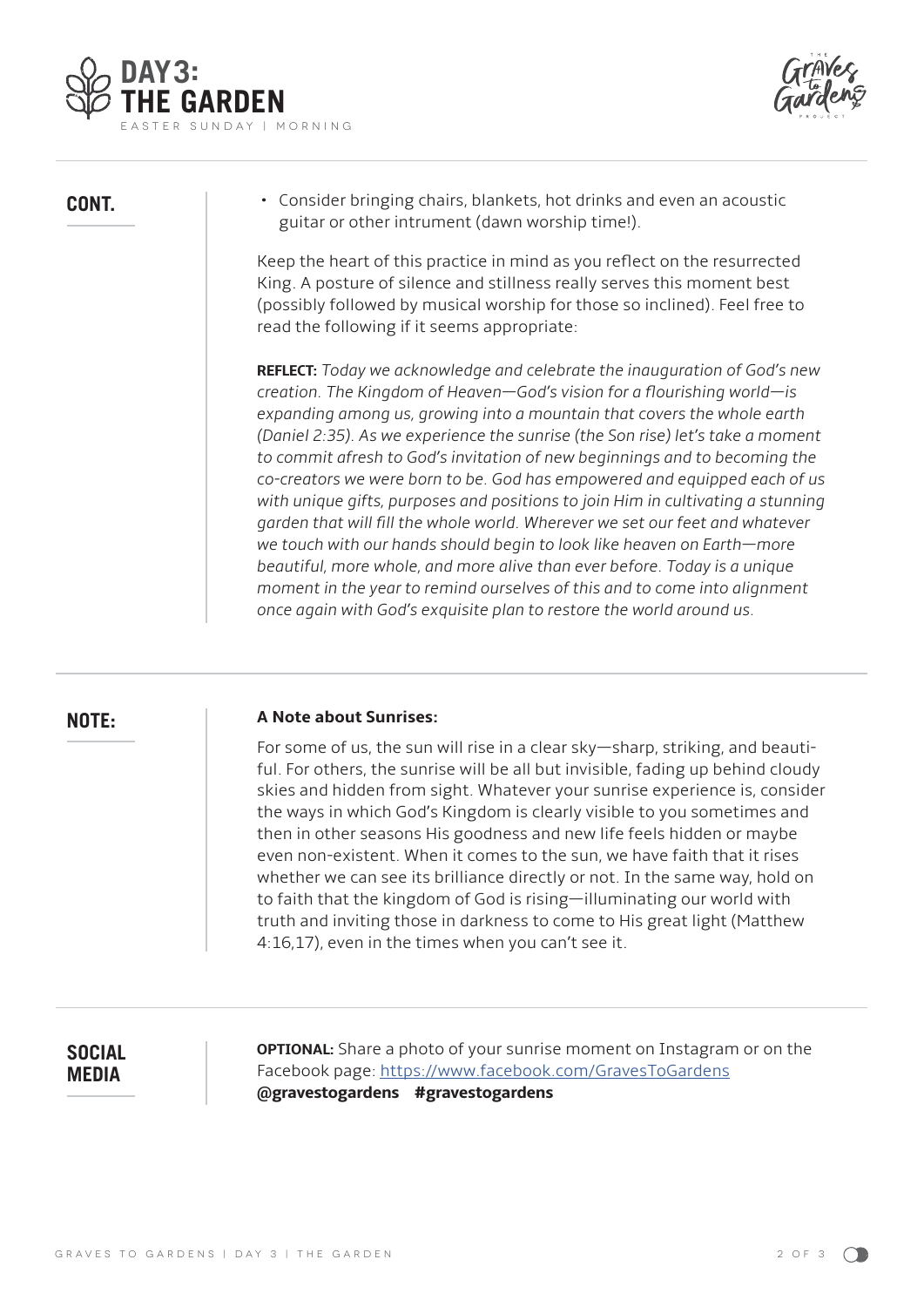



**CONT.**

• Consider bringing chairs, blankets, hot drinks and even an acoustic guitar or other intrument (dawn worship time!).

Keep the heart of this practice in mind as you refect on the resurrected King. A posture of silence and stillness really serves this moment best (possibly followed by musical worship for those so inclined). Feel free to read the following if it seems appropriate:

**REFLECT:** *Today we acknowledge and celebrate the inauguration of God's new creation. The Kingdom of Heaven—God's vision for a fourishing world—is expanding among us, growing into a mountain that covers the whole earth (Daniel 2:35). As we experience the sunrise (the Son rise) let's take a moment to commit afresh to God's invitation of new beginnings and to becoming the co-creators we were born to be. God has empowered and equipped each of us with unique gifts, purposes and positions to join Him in cultivating a stunning garden that will fll the whole world. Wherever we set our feet and whatever we touch with our hands should begin to look like heaven on Earth—more beautiful, more whole, and more alive than ever before. Today is a unique moment in the year to remind ourselves of this and to come into alignment once again with God's exquisite plan to restore the world around us.*

**NOTE:**

#### **A Note about Sunrises:**

For some of us, the sun will rise in a clear sky—sharp, striking, and beautiful. For others, the sunrise will be all but invisible, fading up behind cloudy skies and hidden from sight. Whatever your sunrise experience is, consider the ways in which God's Kingdom is clearly visible to you sometimes and then in other seasons His goodness and new life feels hidden or maybe even non-existent. When it comes to the sun, we have faith that it rises whether we can see its brilliance directly or not. In the same way, hold on to faith that the kingdom of God is rising—illuminating our world with truth and inviting those in darkness to come to His great light (Matthew 4:16,17), even in the times when you can't see it.

### **SOCIAL MEDIA**

**OPTIONAL:** Share a photo of your sunrise moment on Instagram or on the Facebook page: <https://www.facebook.com/GravesToGardens> **@gravestogardens #gravestogardens**